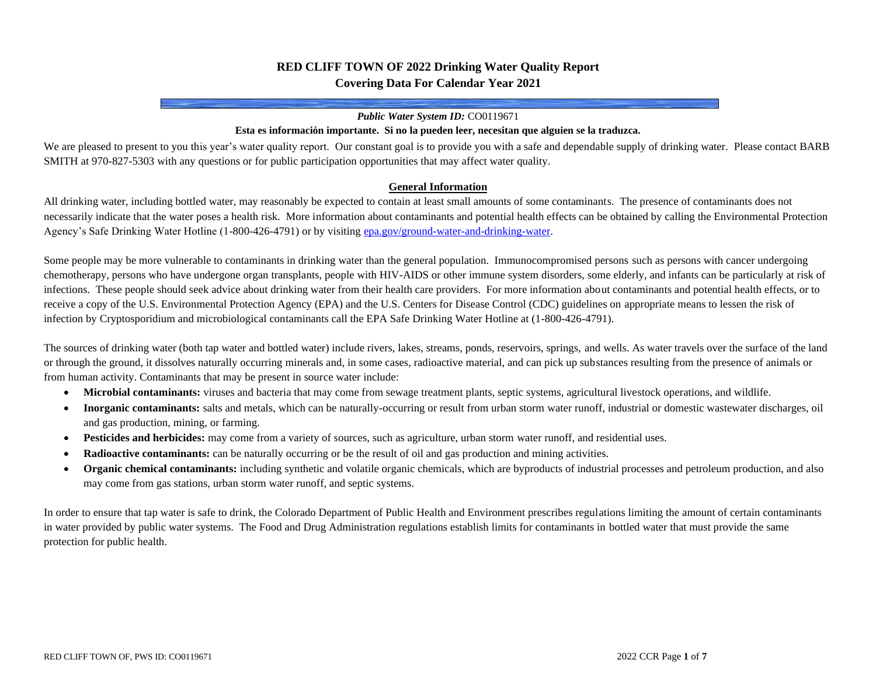# **RED CLIFF TOWN OF 2022 Drinking Water Quality Report Covering Data For Calendar Year 2021**

#### *Public Water System ID:* CO0119671

#### **Esta es información importante. Si no la pueden leer, necesitan que alguien se la traduzca.**

We are pleased to present to you this year's water quality report. Our constant goal is to provide you with a safe and dependable supply of drinking water. Please contact BARB SMITH at 970-827-5303 with any questions or for public participation opportunities that may affect water quality.

### **General Information**

All drinking water, including bottled water, may reasonably be expected to contain at least small amounts of some contaminants. The presence of contaminants does not necessarily indicate that the water poses a health risk. More information about contaminants and potential health effects can be obtained by calling the Environmental Protection Agency's Safe Drinking Water Hotline (1-800-426-4791) or by visitin[g epa.gov/ground-water-and-drinking-water.](https://www.epa.gov/ground-water-and-drinking-water)

Some people may be more vulnerable to contaminants in drinking water than the general population. Immunocompromised persons such as persons with cancer undergoing chemotherapy, persons who have undergone organ transplants, people with HIV-AIDS or other immune system disorders, some elderly, and infants can be particularly at risk of infections. These people should seek advice about drinking water from their health care providers. For more information about contaminants and potential health effects, or to receive a copy of the U.S. Environmental Protection Agency (EPA) and the U.S. Centers for Disease Control (CDC) guidelines on appropriate means to lessen the risk of infection by Cryptosporidium and microbiological contaminants call the EPA Safe Drinking Water Hotline at (1-800-426-4791).

The sources of drinking water (both tap water and bottled water) include rivers, lakes, streams, ponds, reservoirs, springs, and wells. As water travels over the surface of the land or through the ground, it dissolves naturally occurring minerals and, in some cases, radioactive material, and can pick up substances resulting from the presence of animals or from human activity. Contaminants that may be present in source water include:

- **Microbial contaminants:** viruses and bacteria that may come from sewage treatment plants, septic systems, agricultural livestock operations, and wildlife.
- **Inorganic contaminants:** salts and metals, which can be naturally-occurring or result from urban storm water runoff, industrial or domestic wastewater discharges, oil and gas production, mining, or farming.
- **Pesticides and herbicides:** may come from a variety of sources, such as agriculture, urban storm water runoff, and residential uses.
- **Radioactive contaminants:** can be naturally occurring or be the result of oil and gas production and mining activities.
- **Organic chemical contaminants:** including synthetic and volatile organic chemicals, which are byproducts of industrial processes and petroleum production, and also may come from gas stations, urban storm water runoff, and septic systems.

In order to ensure that tap water is safe to drink, the Colorado Department of Public Health and Environment prescribes regulations limiting the amount of certain contaminants in water provided by public water systems. The Food and Drug Administration regulations establish limits for contaminants in bottled water that must provide the same protection for public health.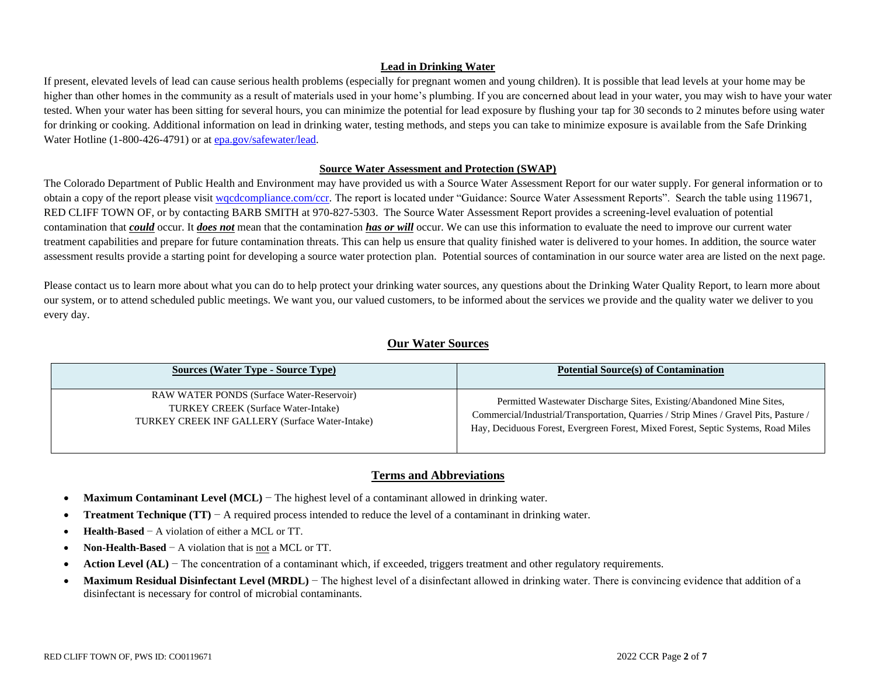### **Lead in Drinking Water**

If present, elevated levels of lead can cause serious health problems (especially for pregnant women and young children). It is possible that lead levels at your home may be higher than other homes in the community as a result of materials used in your home's plumbing. If you are concerned about lead in your water, you may wish to have your water tested. When your water has been sitting for several hours, you can minimize the potential for lead exposure by flushing your tap for 30 seconds to 2 minutes before using water for drinking or cooking. Additional information on lead in drinking water, testing methods, and steps you can take to minimize exposure is available from the Safe Drinking Water Hotline (1-800-426-4791) or a[t epa.gov/safewater/lead.](http://www.epa.gov/safewater/lead)

### **Source Water Assessment and Protection (SWAP)**

The Colorado Department of Public Health and Environment may have provided us with a Source Water Assessment Report for our water supply. For general information or to obtain a copy of the report please visit wordcompliance.com/ccr. The report is located under "Guidance: Source Water Assessment Reports". Search the table using 119671, RED CLIFF TOWN OF, or by contacting BARB SMITH at 970-827-5303. The Source Water Assessment Report provides a screening-level evaluation of potential contamination that *could* occur. It *does not* mean that the contamination *has or will* occur. We can use this information to evaluate the need to improve our current water treatment capabilities and prepare for future contamination threats. This can help us ensure that quality finished water is delivered to your homes. In addition, the source water assessment results provide a starting point for developing a source water protection plan. Potential sources of contamination in our source water area are listed on the next page.

Please contact us to learn more about what you can do to help protect your drinking water sources, any questions about the Drinking Water Quality Report, to learn more about our system, or to attend scheduled public meetings. We want you, our valued customers, to be informed about the services we provide and the quality water we deliver to you every day.

# **Our Water Sources**

| <b>Sources (Water Type - Source Type)</b>        | <b>Potential Source(s) of Contamination</b>                                           |
|--------------------------------------------------|---------------------------------------------------------------------------------------|
| <b>RAW WATER PONDS (Surface Water-Reservoir)</b> | Permitted Wastewater Discharge Sites, Existing/Abandoned Mine Sites,                  |
| TURKEY CREEK (Surface Water-Intake)              | Commercial/Industrial/Transportation, Quarries / Strip Mines / Gravel Pits, Pasture / |
| TURKEY CREEK INF GALLERY (Surface Water-Intake)  | Hay, Deciduous Forest, Evergreen Forest, Mixed Forest, Septic Systems, Road Miles     |

# **Terms and Abbreviations**

- **Maximum Contaminant Level (MCL)** − The highest level of a contaminant allowed in drinking water.
- **Treatment Technique (TT)** − A required process intended to reduce the level of a contaminant in drinking water.
- **Health-Based** − A violation of either a MCL or TT.
- **Non-Health-Based** − A violation that is not a MCL or TT.
- **Action Level (AL)** − The concentration of a contaminant which, if exceeded, triggers treatment and other regulatory requirements.
- Maximum Residual Disinfectant Level (MRDL) The highest level of a disinfectant allowed in drinking water. There is convincing evidence that addition of a disinfectant is necessary for control of microbial contaminants.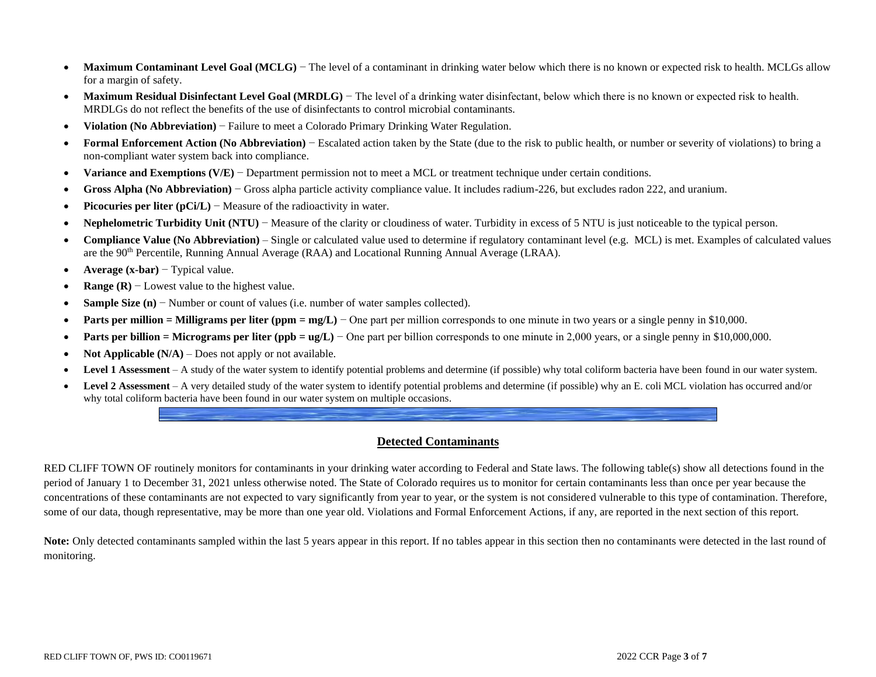- Maximum Contaminant Level Goal (MCLG) The level of a contaminant in drinking water below which there is no known or expected risk to health. MCLGs allow for a margin of safety.
- **Maximum Residual Disinfectant Level Goal (MRDLG**) The level of a drinking water disinfectant, below which there is no known or expected risk to health. MRDLGs do not reflect the benefits of the use of disinfectants to control microbial contaminants.
- **Violation (No Abbreviation)** − Failure to meet a Colorado Primary Drinking Water Regulation.
- **Formal Enforcement Action (No Abbreviation)** − Escalated action taken by the State (due to the risk to public health, or number or severity of violations) to bring a non-compliant water system back into compliance.
- **Variance and Exemptions (V/E)** − Department permission not to meet a MCL or treatment technique under certain conditions.
- **Gross Alpha (No Abbreviation)** − Gross alpha particle activity compliance value. It includes radium-226, but excludes radon 222, and uranium.
- **Picocuries per liter (pCi/L)** − Measure of the radioactivity in water.
- **Nephelometric Turbidity Unit (NTU)** − Measure of the clarity or cloudiness of water. Turbidity in excess of 5 NTU is just noticeable to the typical person.
- **Compliance Value (No Abbreviation)** Single or calculated value used to determine if regulatory contaminant level (e.g. MCL) is met. Examples of calculated values are the 90th Percentile, Running Annual Average (RAA) and Locational Running Annual Average (LRAA).
- **Average (x-bar)** − Typical value.
- **Range (R)** − Lowest value to the highest value.
- **Sample Size (n)** − Number or count of values (i.e. number of water samples collected).
- **• Parts per million = Milligrams per liter (ppm = mg/L)** One part per million corresponds to one minute in two years or a single penny in \$10,000.
- **Parts per billion = Micrograms per liter (ppb = ug/L)** One part per billion corresponds to one minute in 2,000 years, or a single penny in \$10,000,000.
- **Not Applicable (N/A)** Does not apply or not available.
- **Level 1 Assessment** A study of the water system to identify potential problems and determine (if possible) why total coliform bacteria have been found in our water system.
- Level 2 Assessment A very detailed study of the water system to identify potential problems and determine (if possible) why an E. coli MCL violation has occurred and/or why total coliform bacteria have been found in our water system on multiple occasions.

## **Detected Contaminants**

RED CLIFF TOWN OF routinely monitors for contaminants in your drinking water according to Federal and State laws. The following table(s) show all detections found in the period of January 1 to December 31, 2021 unless otherwise noted. The State of Colorado requires us to monitor for certain contaminants less than once per year because the concentrations of these contaminants are not expected to vary significantly from year to year, or the system is not considered vulnerable to this type of contamination. Therefore, some of our data, though representative, may be more than one year old. Violations and Formal Enforcement Actions, if any, are reported in the next section of this report.

Note: Only detected contaminants sampled within the last 5 years appear in this report. If no tables appear in this section then no contaminants were detected in the last round of monitoring.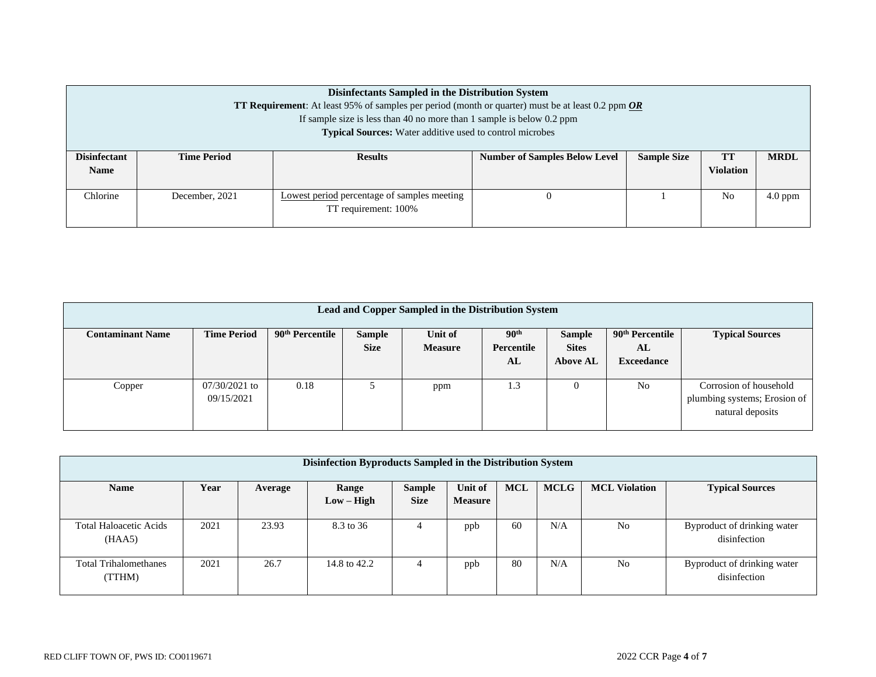|                                    | Disinfectants Sampled in the Distribution System<br><b>TT Requirement:</b> At least 95% of samples per period (month or quarter) must be at least 0.2 ppm $\overline{OR}$<br>If sample size is less than 40 no more than 1 sample is below $0.2$ ppm<br><b>Typical Sources:</b> Water additive used to control microbes |                                                                     |                                      |                    |                        |             |  |  |  |
|------------------------------------|-------------------------------------------------------------------------------------------------------------------------------------------------------------------------------------------------------------------------------------------------------------------------------------------------------------------------|---------------------------------------------------------------------|--------------------------------------|--------------------|------------------------|-------------|--|--|--|
| <b>Disinfectant</b><br><b>Name</b> | <b>Time Period</b>                                                                                                                                                                                                                                                                                                      | <b>Results</b>                                                      | <b>Number of Samples Below Level</b> | <b>Sample Size</b> | TT<br><b>Violation</b> | <b>MRDL</b> |  |  |  |
| Chlorine                           | December, 2021                                                                                                                                                                                                                                                                                                          | Lowest period percentage of samples meeting<br>TT requirement: 100% | O                                    |                    | N <sub>0</sub>         | $4.0$ ppm   |  |  |  |

| Lead and Copper Sampled in the Distribution System |                               |                             |                              |                           |                                      |                                                  |                                                        |                                                                            |  |
|----------------------------------------------------|-------------------------------|-----------------------------|------------------------------|---------------------------|--------------------------------------|--------------------------------------------------|--------------------------------------------------------|----------------------------------------------------------------------------|--|
| <b>Contaminant Name</b>                            | <b>Time Period</b>            | 90 <sup>th</sup> Percentile | <b>Sample</b><br><b>Size</b> | Unit of<br><b>Measure</b> | 90 <sup>th</sup><br>Percentile<br>AL | <b>Sample</b><br><b>Sites</b><br><b>Above AL</b> | 90 <sup>th</sup> Percentile<br>AL<br><b>Exceedance</b> | <b>Typical Sources</b>                                                     |  |
| Copper                                             | $07/30/2021$ to<br>09/15/2021 | 0.18                        |                              | ppm                       | 1.3                                  |                                                  | N <sub>0</sub>                                         | Corrosion of household<br>plumbing systems; Erosion of<br>natural deposits |  |

| Disinfection Byproducts Sampled in the Distribution System |      |         |              |               |                |            |             |                      |                                             |
|------------------------------------------------------------|------|---------|--------------|---------------|----------------|------------|-------------|----------------------|---------------------------------------------|
| <b>Name</b>                                                | Year | Average | Range        | <b>Sample</b> | Unit of        | <b>MCL</b> | <b>MCLG</b> | <b>MCL Violation</b> | <b>Typical Sources</b>                      |
|                                                            |      |         | $Low - High$ | <b>Size</b>   | <b>Measure</b> |            |             |                      |                                             |
| <b>Total Haloacetic Acids</b><br>(HAA5)                    | 2021 | 23.93   | 8.3 to 36    | 4             | ppb            | 60         | N/A         | N <sub>0</sub>       | Byproduct of drinking water<br>disinfection |
| <b>Total Trihalomethanes</b><br>(TTHM)                     | 2021 | 26.7    | 14.8 to 42.2 | 4             | ppb            | 80         | N/A         | N <sub>0</sub>       | Byproduct of drinking water<br>disinfection |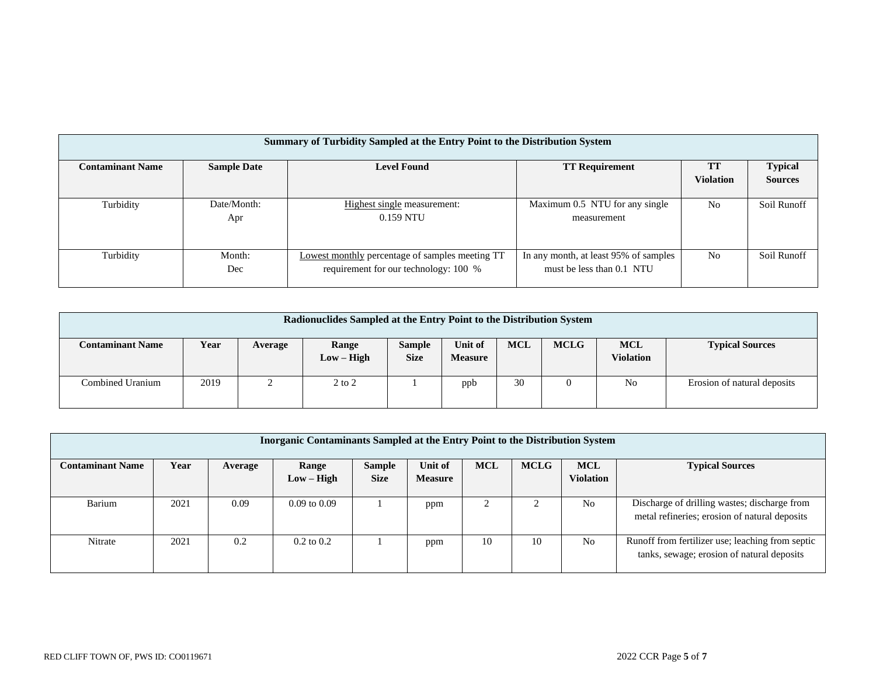|                         | Summary of Turbidity Sampled at the Entry Point to the Distribution System |                                                 |                                       |                  |                |  |  |  |  |
|-------------------------|----------------------------------------------------------------------------|-------------------------------------------------|---------------------------------------|------------------|----------------|--|--|--|--|
|                         |                                                                            |                                                 |                                       |                  |                |  |  |  |  |
| <b>Contaminant Name</b> | <b>Sample Date</b>                                                         | <b>Level Found</b>                              | <b>TT Requirement</b>                 | TT               | <b>Typical</b> |  |  |  |  |
|                         |                                                                            |                                                 |                                       | <b>Violation</b> | <b>Sources</b> |  |  |  |  |
|                         |                                                                            |                                                 |                                       |                  |                |  |  |  |  |
| Turbidity               | Date/Month:                                                                | Highest single measurement:                     | Maximum 0.5 NTU for any single        | N <sub>0</sub>   | Soil Runoff    |  |  |  |  |
|                         | Apr                                                                        | $0.159$ NTU                                     | measurement                           |                  |                |  |  |  |  |
|                         |                                                                            |                                                 |                                       |                  |                |  |  |  |  |
|                         |                                                                            |                                                 |                                       |                  |                |  |  |  |  |
| Turbidity               | Month:                                                                     | Lowest monthly percentage of samples meeting TT | In any month, at least 95% of samples | N <sub>0</sub>   | Soil Runoff    |  |  |  |  |
|                         | Dec                                                                        | requirement for our technology: 100 %           | must be less than 0.1 NTU             |                  |                |  |  |  |  |
|                         |                                                                            |                                                 |                                       |                  |                |  |  |  |  |
|                         |                                                                            |                                                 |                                       |                  |                |  |  |  |  |

| Radionuclides Sampled at the Entry Point to the Distribution System |      |         |                       |                              |                           |            |             |                                |                             |
|---------------------------------------------------------------------|------|---------|-----------------------|------------------------------|---------------------------|------------|-------------|--------------------------------|-----------------------------|
| <b>Contaminant Name</b>                                             | Year | Average | Range<br>$Low - High$ | <b>Sample</b><br><b>Size</b> | Unit of<br><b>Measure</b> | <b>MCL</b> | <b>MCLG</b> | <b>MCL</b><br><b>Violation</b> | <b>Typical Sources</b>      |
| Combined Uranium                                                    | 2019 |         | $2$ to $2$            |                              | ppb                       | 30         | 0           | No                             | Erosion of natural deposits |

| Inorganic Contaminants Sampled at the Entry Point to the Distribution System |      |         |                       |                              |                           |            |             |                                |                                                                                                |
|------------------------------------------------------------------------------|------|---------|-----------------------|------------------------------|---------------------------|------------|-------------|--------------------------------|------------------------------------------------------------------------------------------------|
| <b>Contaminant Name</b>                                                      | Year | Average | Range<br>$Low - High$ | <b>Sample</b><br><b>Size</b> | Unit of<br><b>Measure</b> | <b>MCL</b> | <b>MCLG</b> | <b>MCL</b><br><b>Violation</b> | <b>Typical Sources</b>                                                                         |
| Barium                                                                       | 2021 | 0.09    | $0.09$ to $0.09$      |                              | ppm                       |            |             | No                             | Discharge of drilling wastes; discharge from<br>metal refineries; erosion of natural deposits  |
| Nitrate                                                                      | 2021 | 0.2     | $0.2 \text{ to } 0.2$ |                              | ppm                       | 10         | 10          | N <sub>0</sub>                 | Runoff from fertilizer use; leaching from septic<br>tanks, sewage; erosion of natural deposits |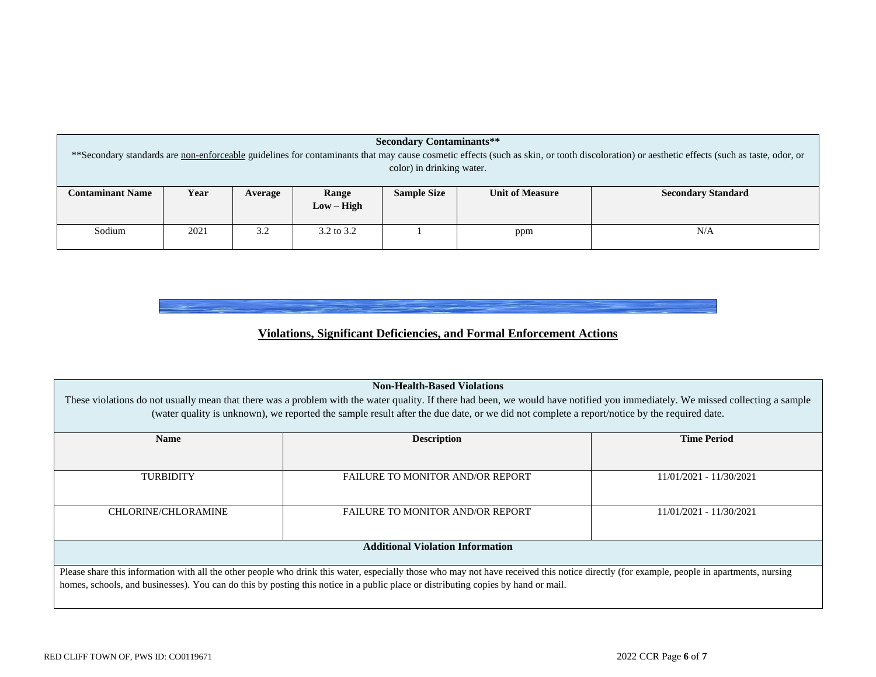| <b>Secondary Contaminants**</b><br>** Secondary standards are non-enforceable guidelines for contaminants that may cause cosmetic effects (such as skin, or tooth discoloration) or aesthetic effects (such as taste, odor, or |      |         |                       |                                                                           |     |     |  |  |  |  |
|--------------------------------------------------------------------------------------------------------------------------------------------------------------------------------------------------------------------------------|------|---------|-----------------------|---------------------------------------------------------------------------|-----|-----|--|--|--|--|
| color) in drinking water.                                                                                                                                                                                                      |      |         |                       |                                                                           |     |     |  |  |  |  |
| <b>Contaminant Name</b>                                                                                                                                                                                                        | Year | Average | Range                 | <b>Sample Size</b><br><b>Unit of Measure</b><br><b>Secondary Standard</b> |     |     |  |  |  |  |
|                                                                                                                                                                                                                                |      |         | $Low - High$          |                                                                           |     |     |  |  |  |  |
| Sodium                                                                                                                                                                                                                         | 2021 | 3.2     | $3.2 \text{ to } 3.2$ |                                                                           | ppm | N/A |  |  |  |  |

**Violations, Significant Deficiencies, and Formal Enforcement Actions**

| <b>Non-Health-Based Violations</b>                                                                                                                                             |                                                                                                                                                                                           |                         |  |  |  |  |  |  |
|--------------------------------------------------------------------------------------------------------------------------------------------------------------------------------|-------------------------------------------------------------------------------------------------------------------------------------------------------------------------------------------|-------------------------|--|--|--|--|--|--|
| These violations do not usually mean that there was a problem with the water quality. If there had been, we would have notified you immediately. We missed collecting a sample |                                                                                                                                                                                           |                         |  |  |  |  |  |  |
| (water quality is unknown), we reported the sample result after the due date, or we did not complete a report/notice by the required date.                                     |                                                                                                                                                                                           |                         |  |  |  |  |  |  |
| <b>Name</b>                                                                                                                                                                    | <b>Description</b>                                                                                                                                                                        | <b>Time Period</b>      |  |  |  |  |  |  |
|                                                                                                                                                                                |                                                                                                                                                                                           |                         |  |  |  |  |  |  |
| <b>TURBIDITY</b>                                                                                                                                                               | <b>FAILURE TO MONITOR AND/OR REPORT</b>                                                                                                                                                   | 11/01/2021 - 11/30/2021 |  |  |  |  |  |  |
|                                                                                                                                                                                |                                                                                                                                                                                           |                         |  |  |  |  |  |  |
| <b>CHLORINE/CHLORAMINE</b>                                                                                                                                                     | <b>FAILURE TO MONITOR AND/OR REPORT</b>                                                                                                                                                   | 11/01/2021 - 11/30/2021 |  |  |  |  |  |  |
|                                                                                                                                                                                |                                                                                                                                                                                           |                         |  |  |  |  |  |  |
| <b>Additional Violation Information</b>                                                                                                                                        |                                                                                                                                                                                           |                         |  |  |  |  |  |  |
|                                                                                                                                                                                | Please share this information with all the other people who drink this water, especially those who may not have received this notice directly (for example, people in apartments, nursing |                         |  |  |  |  |  |  |
| homes, schools, and businesses). You can do this by posting this notice in a public place or distributing copies by hand or mail.                                              |                                                                                                                                                                                           |                         |  |  |  |  |  |  |